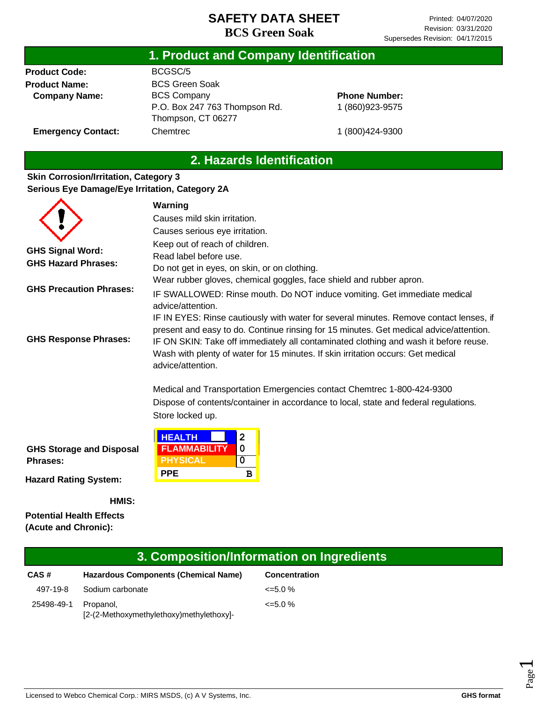## **1. Product and Company Identification**

**Product Code: Product Name: Company Name:**

**Emergency Contact:**

BCGSC/5 BCS Green Soak BCS Company P.O. Box 247 763 Thompson Rd. Thompson, CT 06277 **Chemtrec** 

### **Phone Number:** 1 (860)923-9575

1 (800)424-9300

## **2. Hazards Identification**

#### **Skin Corrosion/Irritation, Category 3 Serious Eye Damage/Eye Irritation, Category 2A**

|                                                       | Warning                                                                                                                                                                                                                                                                                                                                                                           |
|-------------------------------------------------------|-----------------------------------------------------------------------------------------------------------------------------------------------------------------------------------------------------------------------------------------------------------------------------------------------------------------------------------------------------------------------------------|
|                                                       | Causes mild skin irritation.                                                                                                                                                                                                                                                                                                                                                      |
|                                                       | Causes serious eye irritation.                                                                                                                                                                                                                                                                                                                                                    |
| <b>GHS Signal Word:</b><br><b>GHS Hazard Phrases:</b> | Keep out of reach of children.<br>Read label before use.<br>Do not get in eyes, on skin, or on clothing.                                                                                                                                                                                                                                                                          |
| <b>GHS Precaution Phrases:</b>                        | Wear rubber gloves, chemical goggles, face shield and rubber apron.<br>IF SWALLOWED: Rinse mouth. Do NOT induce vomiting. Get immediate medical<br>advice/attention.                                                                                                                                                                                                              |
| <b>GHS Response Phrases:</b>                          | IF IN EYES: Rinse cautiously with water for several minutes. Remove contact lenses, if<br>present and easy to do. Continue rinsing for 15 minutes. Get medical advice/attention.<br>IF ON SKIN: Take off immediately all contaminated clothing and wash it before reuse.<br>Wash with plenty of water for 15 minutes. If skin irritation occurs: Get medical<br>advice/attention. |
|                                                       | Medical and Transportation Emergencies contact Chemtrec 1-800-424-9300<br>Dispose of contents/container in accordance to local, state and federal regulations.<br>Store locked up.                                                                                                                                                                                                |
| <b>GHS Storage and Disposal</b><br><b>Phrases:</b>    | <b>HEALTH</b><br>$\overline{2}$<br><b>FLAMMABILITY</b><br>$\mathbf 0$<br><b>PHYSICAL</b><br>$\overline{0}$<br><b>PPE</b><br>B                                                                                                                                                                                                                                                     |
| Hoperd Dollard Custom                                 |                                                                                                                                                                                                                                                                                                                                                                                   |

**Hazard Rating System:**

**HMIS:**

**Potential Health Effects (Acute and Chronic):**

|            |                                                       | 3. Composition/Information on Ingredients |
|------------|-------------------------------------------------------|-------------------------------------------|
| CAS#       | <b>Hazardous Components (Chemical Name)</b>           | <b>Concentration</b>                      |
| 497-19-8   | Sodium carbonate                                      | $\leq 5.0\%$                              |
| 25498-49-1 | Propanol.<br>[2-(2-Methoxymethylethoxy)methylethoxy]- | $\leq 5.0\%$                              |

Page  $\overline{\phantom{0}}$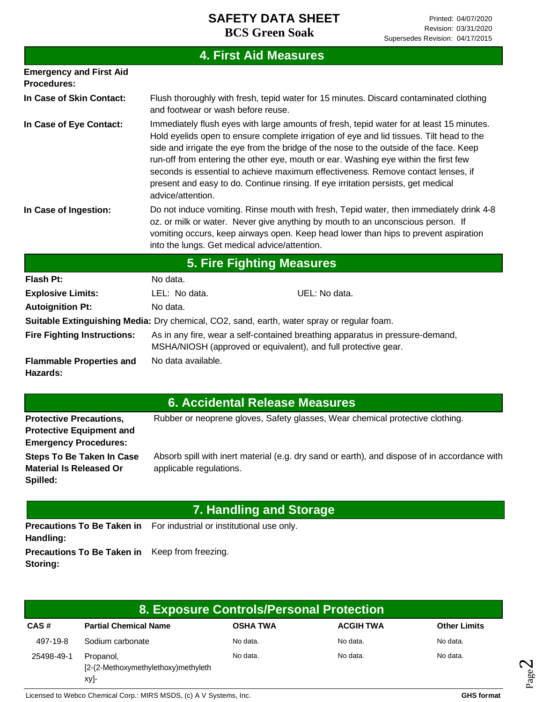|                                                  |                                               | <b>4. First Aid Measures</b>                                                                                                                                                                                                                                                                                                                                                                                                                                                                                                                                                                                                                                                                                                 |
|--------------------------------------------------|-----------------------------------------------|------------------------------------------------------------------------------------------------------------------------------------------------------------------------------------------------------------------------------------------------------------------------------------------------------------------------------------------------------------------------------------------------------------------------------------------------------------------------------------------------------------------------------------------------------------------------------------------------------------------------------------------------------------------------------------------------------------------------------|
| <b>Emergency and First Aid</b><br>Procedures:    |                                               |                                                                                                                                                                                                                                                                                                                                                                                                                                                                                                                                                                                                                                                                                                                              |
| In Case of Skin Contact:                         | and footwear or wash before reuse.            | Flush thoroughly with fresh, tepid water for 15 minutes. Discard contaminated clothing                                                                                                                                                                                                                                                                                                                                                                                                                                                                                                                                                                                                                                       |
| In Case of Eye Contact:<br>In Case of Ingestion: | advice/attention.                             | Immediately flush eyes with large amounts of fresh, tepid water for at least 15 minutes.<br>Hold eyelids open to ensure complete irrigation of eye and lid tissues. Tilt head to the<br>side and irrigate the eye from the bridge of the nose to the outside of the face. Keep<br>run-off from entering the other eye, mouth or ear. Washing eye within the first few<br>seconds is essential to achieve maximum effectiveness. Remove contact lenses, if<br>present and easy to do. Continue rinsing. If eye irritation persists, get medical<br>Do not induce vomiting. Rinse mouth with fresh, Tepid water, then immediately drink 4-8<br>oz. or milk or water. Never give anything by mouth to an unconscious person. If |
|                                                  | into the lungs. Get medical advice/attention. | vomiting occurs, keep airways open. Keep head lower than hips to prevent aspiration                                                                                                                                                                                                                                                                                                                                                                                                                                                                                                                                                                                                                                          |
|                                                  |                                               | <b>5. Fire Fighting Measures</b>                                                                                                                                                                                                                                                                                                                                                                                                                                                                                                                                                                                                                                                                                             |
| <b>Flash Pt:</b>                                 | No data.                                      |                                                                                                                                                                                                                                                                                                                                                                                                                                                                                                                                                                                                                                                                                                                              |
| <b>Explosive Limits:</b>                         | LEL: No data.                                 | UEL: No data.                                                                                                                                                                                                                                                                                                                                                                                                                                                                                                                                                                                                                                                                                                                |
| <b>Autoignition Pt:</b>                          | No data.                                      |                                                                                                                                                                                                                                                                                                                                                                                                                                                                                                                                                                                                                                                                                                                              |
|                                                  |                                               | Suitable Extinguishing Media: Dry chemical, CO2, sand, earth, water spray or regular foam.                                                                                                                                                                                                                                                                                                                                                                                                                                                                                                                                                                                                                                   |
| <b>Fire Fighting Instructions:</b>               |                                               | As in any fire, wear a self-contained breathing apparatus in pressure-demand,<br>MSHA/NIOSH (approved or equivalent), and full protective gear.                                                                                                                                                                                                                                                                                                                                                                                                                                                                                                                                                                              |
| <b>Flammable Properties and</b><br>Hazards:      | No data available.                            |                                                                                                                                                                                                                                                                                                                                                                                                                                                                                                                                                                                                                                                                                                                              |

|  |  | 6. Accidental Release Measures |  |
|--|--|--------------------------------|--|
|  |  |                                |  |

| <b>Protective Precautions,</b>  | Rubber or neoprene gloves, Safety glasses, Wear chemical protective clothing.                |
|---------------------------------|----------------------------------------------------------------------------------------------|
| <b>Protective Equipment and</b> |                                                                                              |
| <b>Emergency Procedures:</b>    |                                                                                              |
| Steps To Be Taken In Case       | Absorb spill with inert material (e.g. dry sand or earth), and dispose of in accordance with |
| <b>Material Is Released Or</b>  | applicable regulations.                                                                      |
| Spilled:                        |                                                                                              |

# **7. Handling and Storage**

Precautions To Be Taken in For industrial or institutional use only. **Handling: Precautions To Be Taken in**  Keep from freezing. **Storing:**

|            |                                                                                  | 8. Exposure Controls/Personal Protection |                  |                     |
|------------|----------------------------------------------------------------------------------|------------------------------------------|------------------|---------------------|
| CAS#       | <b>Partial Chemical Name</b>                                                     | <b>OSHA TWA</b>                          | <b>ACGIH TWA</b> | <b>Other Limits</b> |
| 497-19-8   | Sodium carbonate                                                                 | No data.                                 | No data.         | No data.            |
| 25498-49-1 | No data.<br>No data.<br>Propanol,<br>[2-(2-Methoxymethylethoxy)methyleth<br>xy]- |                                          | No data.         |                     |

Licensed to Webco Chemical Corp.: MIRS MSDS, (c) A V Systems, Inc. **GHS** format **GHS** format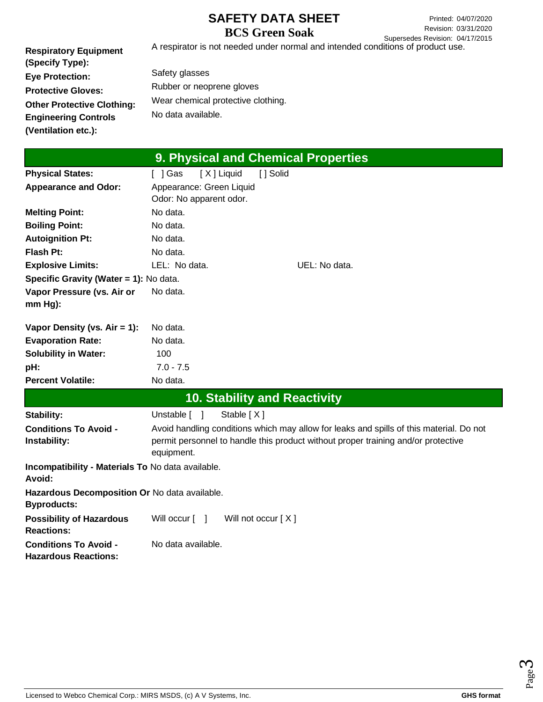Printed: 04/07/2020 Revision: 03/31/2020 Supersedes Revision: 04/17/2015

**Respiratory Equipment (Specify Type): Eye Protection: Protective Gloves: Other Protective Clothing: Engineering Controls (Ventilation etc.):** A respirator is not needed under normal and intended conditions of product use. Safety glasses Rubber or neoprene gloves Wear chemical protective clothing. No data available.

|                                                                     | 9. Physical and Chemical Properties                 |                                                                                                                                                                              |
|---------------------------------------------------------------------|-----------------------------------------------------|------------------------------------------------------------------------------------------------------------------------------------------------------------------------------|
| <b>Physical States:</b>                                             | [X] Liquid<br>[ ] Solid<br>$\lceil$   Gas           |                                                                                                                                                                              |
| <b>Appearance and Odor:</b>                                         | Appearance: Green Liquid<br>Odor: No apparent odor. |                                                                                                                                                                              |
| <b>Melting Point:</b>                                               | No data.                                            |                                                                                                                                                                              |
| <b>Boiling Point:</b>                                               | No data.                                            |                                                                                                                                                                              |
| <b>Autoignition Pt:</b>                                             | No data.                                            |                                                                                                                                                                              |
| <b>Flash Pt:</b>                                                    | No data.                                            |                                                                                                                                                                              |
| <b>Explosive Limits:</b>                                            | LEL: No data.                                       | UEL: No data.                                                                                                                                                                |
| Specific Gravity (Water = 1): No data.                              |                                                     |                                                                                                                                                                              |
| Vapor Pressure (vs. Air or<br>$mm Hg$ ):                            | No data.                                            |                                                                                                                                                                              |
| Vapor Density (vs. $Air = 1$ ):                                     | No data.                                            |                                                                                                                                                                              |
| <b>Evaporation Rate:</b>                                            | No data.                                            |                                                                                                                                                                              |
| <b>Solubility in Water:</b>                                         | 100                                                 |                                                                                                                                                                              |
| pH:                                                                 | $7.0 - 7.5$                                         |                                                                                                                                                                              |
| <b>Percent Volatile:</b>                                            | No data.                                            |                                                                                                                                                                              |
|                                                                     | <b>10. Stability and Reactivity</b>                 |                                                                                                                                                                              |
| Stability:                                                          | Unstable [ ]<br>Stable $[X]$                        |                                                                                                                                                                              |
| <b>Conditions To Avoid -</b><br>Instability:                        | equipment.                                          | Avoid handling conditions which may allow for leaks and spills of this material. Do not<br>permit personnel to handle this product without proper training and/or protective |
| Incompatibility - Materials To No data available.<br>Avoid:         |                                                     |                                                                                                                                                                              |
| Hazardous Decomposition Or No data available.<br><b>Byproducts:</b> |                                                     |                                                                                                                                                                              |
| <b>Possibility of Hazardous</b><br><b>Reactions:</b>                | Will occur [ ]<br>Will not occur [X]                |                                                                                                                                                                              |
| <b>Conditions To Avoid -</b><br><b>Hazardous Reactions:</b>         | No data available.                                  |                                                                                                                                                                              |

Page ო